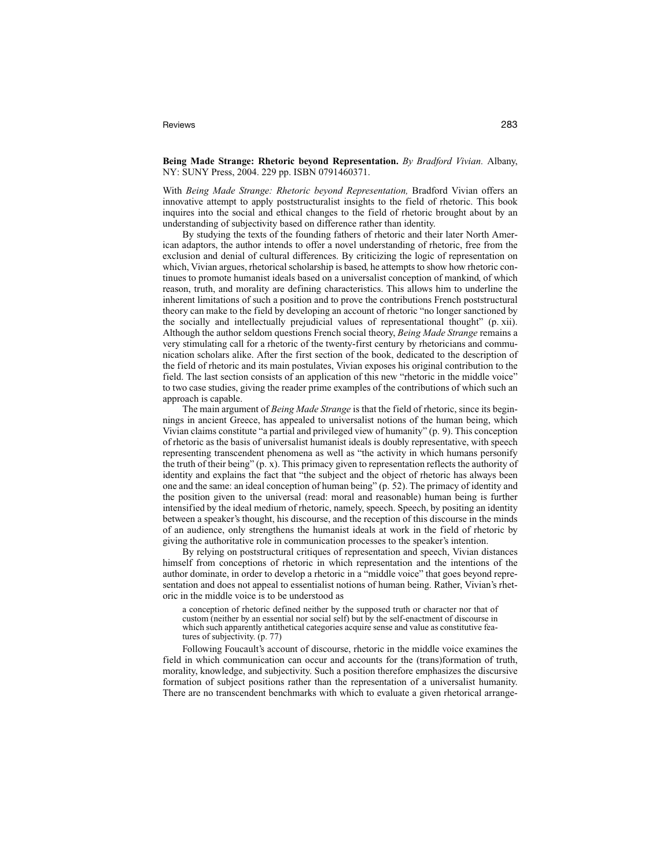## Reviews 283

## **Being Made Strange: Rhetoric beyond Representation.** *By Bradford Vivian.* Albany, NY: SUNY Press, 2004. 229 pp. ISBN 0791460371.

With *Being Made Strange: Rhetoric beyond Representation,* Bradford Vivian offers an innovative attempt to apply poststructuralist insights to the field of rhetoric. This book inquires into the social and ethical changes to the field of rhetoric brought about by an understanding of subjectivity based on difference rather than identity.

By studying the texts of the founding fathers of rhetoric and their later North American adaptors, the author intends to offer a novel understanding of rhetoric, free from the exclusion and denial of cultural differences. By criticizing the logic of representation on which, Vivian argues, rhetorical scholarship is based, he attempts to show how rhetoric continues to promote humanist ideals based on a universalist conception of mankind, of which reason, truth, and morality are defining characteristics. This allows him to underline the inherent limitations of such a position and to prove the contributions French poststructural theory can make to the field by developing an account of rhetoric "no longer sanctioned by the socially and intellectually prejudicial values of representational thought" (p. xii). Although the author seldom questions French social theory, *Being Made Strange* remains a very stimulating call for a rhetoric of the twenty-first century by rhetoricians and communication scholars alike. After the first section of the book, dedicated to the description of the field of rhetoric and its main postulates, Vivian exposes his original contribution to the field. The last section consists of an application of this new "rhetoric in the middle voice" to two case studies, giving the reader prime examples of the contributions of which such an approach is capable.

The main argument of *Being Made Strange* is that the field of rhetoric, since its beginnings in ancient Greece, has appealed to universalist notions of the human being, which Vivian claims constitute "a partial and privileged view of humanity" (p. 9). This conception of rhetoric as the basis of universalist humanist ideals is doubly representative, with speech representing transcendent phenomena as well as "the activity in which humans personify the truth of their being" (p. x). This primacy given to representation reflects the authority of identity and explains the fact that "the subject and the object of rhetoric has always been one and the same: an ideal conception of human being" (p. 52). The primacy of identity and the position given to the universal (read: moral and reasonable) human being is further intensified by the ideal medium of rhetoric, namely, speech. Speech, by positing an identity between a speaker's thought, his discourse, and the reception of this discourse in the minds of an audience, only strengthens the humanist ideals at work in the field of rhetoric by giving the authoritative role in communication processes to the speaker's intention.

By relying on poststructural critiques of representation and speech, Vivian distances himself from conceptions of rhetoric in which representation and the intentions of the author dominate, in order to develop a rhetoric in a "middle voice" that goes beyond representation and does not appeal to essentialist notions of human being. Rather, Vivian's rhetoric in the middle voice is to be understood as

a conception of rhetoric defined neither by the supposed truth or character nor that of custom (neither by an essential nor social self) but by the self-enactment of discourse in which such apparently antithetical categories acquire sense and value as constitutive features of subjectivity. (p. 77)

Following Foucault's account of discourse, rhetoric in the middle voice examines the field in which communication can occur and accounts for the (trans)formation of truth, morality, knowledge, and subjectivity. Such a position therefore emphasizes the discursive formation of subject positions rather than the representation of a universalist humanity. There are no transcendent benchmarks with which to evaluate a given rhetorical arrange